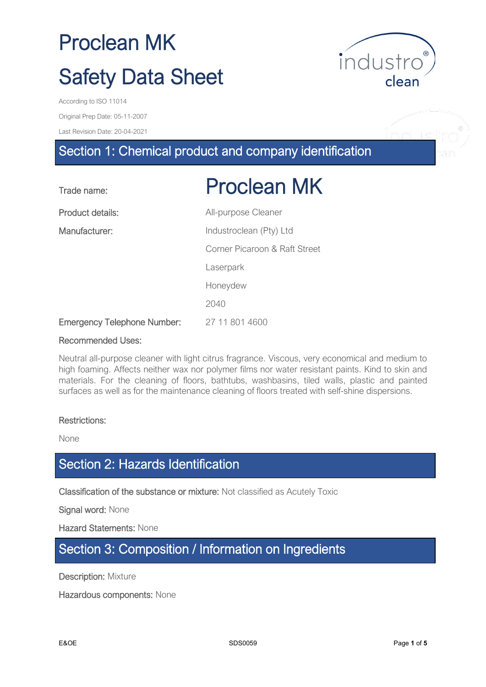Original Prep Date: 05-11-2007

Last Revision Date: 20-04-2021

# Section 1: Chemical product and company identification

| Trade name:                        | <b>Proclean MK</b>            |
|------------------------------------|-------------------------------|
| Product details:                   | All-purpose Cleaner           |
| Manufacturer:                      | Industroclean (Pty) Ltd       |
|                                    | Corner Picaroon & Raft Street |
|                                    | Laserpark                     |
|                                    | Honeydew                      |
|                                    | 2040                          |
| <b>Emergency Telephone Number:</b> | 27 11 801 4600                |

#### Recommended Uses:

Neutral all-purpose cleaner with light citrus fragrance. Viscous, very economical and medium to high foaming. Affects neither wax nor polymer films nor water resistant paints. Kind to skin and materials. For the cleaning of floors, bathtubs, washbasins, tiled walls, plastic and painted surfaces as well as for the maintenance cleaning of floors treated with self-shine dispersions.

#### Restrictions:

None

### Section 2: Hazards Identification

Classification of the substance or mixture: Not classified as Acutely Toxic

Signal word: None

Hazard Statements: None

#### Section 3: Composition / Information on Ingredients

**Description: Mixture** 

Hazardous components: None



nd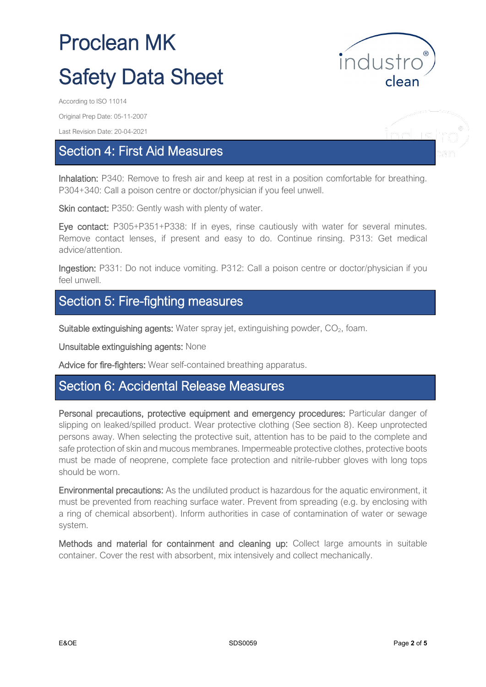

Original Prep Date: 05-11-2007

Last Revision Date: 20-04-2021

## Section 4: First Aid Measures

Inhalation: P340: Remove to fresh air and keep at rest in a position comfortable for breathing. P304+340: Call a poison centre or doctor/physician if you feel unwell.

Skin contact: P350: Gently wash with plenty of water.

Eye contact: P305+P351+P338: If in eyes, rinse cautiously with water for several minutes. Remove contact lenses, if present and easy to do. Continue rinsing. P313: Get medical advice/attention.

Ingestion: P331: Do not induce vomiting. P312: Call a poison centre or doctor/physician if you feel unwell.

# Section 5: Fire-fighting measures

Suitable extinguishing agents: Water spray jet, extinguishing powder,  $CO<sub>2</sub>$ , foam.

Unsuitable extinguishing agents: None

Advice for fire-fighters: Wear self-contained breathing apparatus.

### Section 6: Accidental Release Measures

Personal precautions, protective equipment and emergency procedures: Particular danger of slipping on leaked/spilled product. Wear protective clothing (See section 8). Keep unprotected persons away. When selecting the protective suit, attention has to be paid to the complete and safe protection of skin and mucous membranes. Impermeable protective clothes, protective boots must be made of neoprene, complete face protection and nitrile-rubber gloves with long tops should be worn.

Environmental precautions: As the undiluted product is hazardous for the aquatic environment, it must be prevented from reaching surface water. Prevent from spreading (e.g. by enclosing with a ring of chemical absorbent). Inform authorities in case of contamination of water or sewage system.

Methods and material for containment and cleaning up: Collect large amounts in suitable container. Cover the rest with absorbent, mix intensively and collect mechanically.

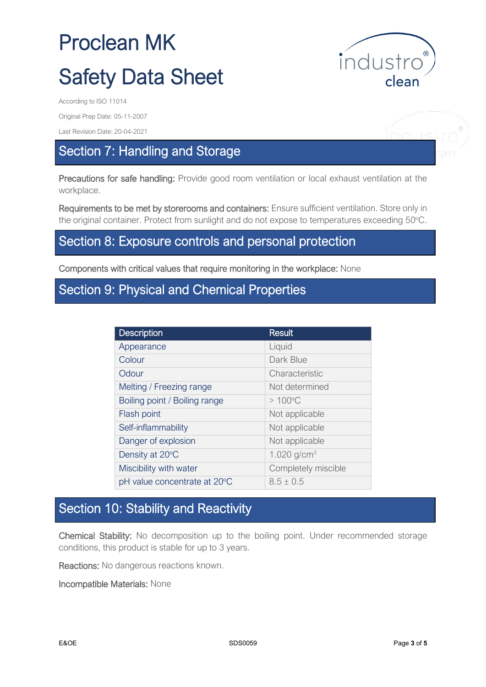

Original Prep Date: 05-11-2007

Last Revision Date: 20-04-2021

# Section 7: Handling and Storage

Precautions for safe handling: Provide good room ventilation or local exhaust ventilation at the workplace.

Requirements to be met by storerooms and containers: Ensure sufficient ventilation. Store only in the original container. Protect from sunlight and do not expose to temperatures exceeding 50°C.

#### Section 8: Exposure controls and personal protection

Components with critical values that require monitoring in the workplace: None

### Section 9: Physical and Chemical Properties

| <b>Description</b>            | <b>Result</b>       |
|-------------------------------|---------------------|
| Appearance                    | Liquid              |
| Colour                        | Dark Blue           |
| Odour                         | Characteristic      |
| Melting / Freezing range      | Not determined      |
| Boiling point / Boiling range | $>100^{\circ}$ C    |
| Flash point                   | Not applicable      |
| Self-inflammability           | Not applicable      |
| Danger of explosion           | Not applicable      |
| Density at 20°C               | 1.020 $q/cm^{3}$    |
| Miscibility with water        | Completely miscible |
| pH value concentrate at 20°C  | $8.5 + 0.5$         |

### Section 10: Stability and Reactivity

Chemical Stability: No decomposition up to the boiling point. Under recommended storage conditions, this product is stable for up to 3 years.

Reactions: No dangerous reactions known.

Incompatible Materials: None

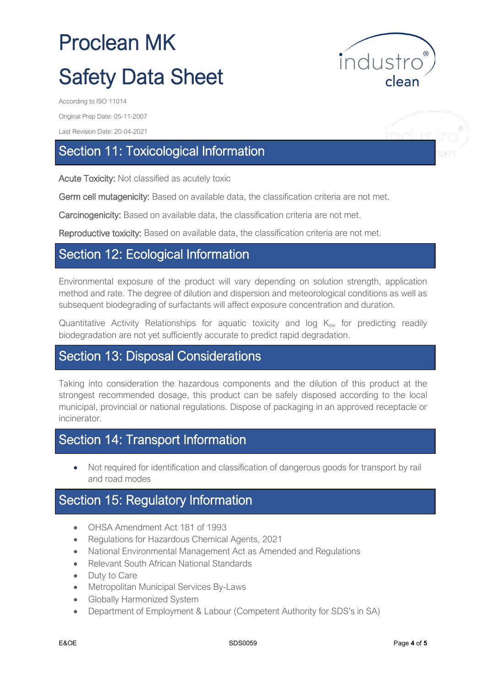

ndue

Original Prep Date: 05-11-2007

Last Revision Date: 20-04-2021

# Section 11: Toxicological Information

Acute Toxicity: Not classified as acutely toxic

Germ cell mutagenicity: Based on available data, the classification criteria are not met.

Carcinogenicity: Based on available data, the classification criteria are not met.

Reproductive toxicity: Based on available data, the classification criteria are not met.

#### Section 12: Ecological Information

Environmental exposure of the product will vary depending on solution strength, application method and rate. The degree of dilution and dispersion and meteorological conditions as well as subsequent biodegrading of surfactants will affect exposure concentration and duration.

Quantitative Activity Relationships for aquatic toxicity and log  $K_{ow}$  for predicting readily biodegradation are not yet sufficiently accurate to predict rapid degradation.

#### Section 13: Disposal Considerations

Taking into consideration the hazardous components and the dilution of this product at the strongest recommended dosage, this product can be safely disposed according to the local municipal, provincial or national regulations. Dispose of packaging in an approved receptacle or incinerator.

## Section 14: Transport Information

• Not required for identification and classification of dangerous goods for transport by rail and road modes

### Section 15: Regulatory Information

- OHSA Amendment Act 181 of 1993
- Regulations for Hazardous Chemical Agents, 2021
- National Environmental Management Act as Amended and Regulations
- Relevant South African National Standards
- Duty to Care
- Metropolitan Municipal Services By-Laws
- Globally Harmonized System
- Department of Employment & Labour (Competent Authority for SDS's in SA)